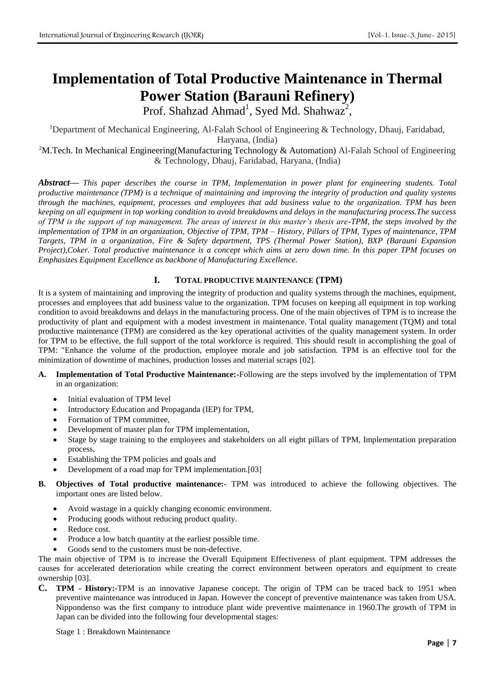# **Implementation of Total Productive Maintenance in Thermal Power Station (Barauni Refinery)**

Prof. Shahzad Ahmad<sup>1</sup>, Syed Md. Shahwaz<sup>2</sup>,

<sup>1</sup>Department of Mechanical Engineering, Al-Falah School of Engineering & Technology, Dhauj, Faridabad, Haryana, (India) <sup>2</sup>M.Tech. In Mechanical Engineering(Manufacturing Technology & Automation) Al-Falah School of Engineering & Technology, Dhauj, Faridabad, Haryana, (India)

*Abstract***—** *This paper describes the course in TPM, Implementation in power plant for engineering students. Total productive maintenance (TPM) is a technique of maintaining and improving the integrity of production and quality systems through the machines, equipment, processes and employees that add business value to the organization. TPM has been keeping on all equipment in top working condition to avoid breakdowns and delays in the manufacturing process.The success of TPM is the support of top management. The areas of interest in this master's thesis are-TPM, the steps involved by the implementation of TPM in an organization, Objective of TPM, TPM – History, Pillars of TPM, Types of maintenance, TPM Targets, TPM in a organization, Fire & Safety department, TPS (Thermal Power Station), BXP (Barauni Expansion Project),Coker. Total productive maintenance is a concept which aims at zero down time. In this paper TPM focuses on Emphasizes Equipment Excellence as backbone of Manufacturing Excellence.*

# **I. TOTAL PRODUCTIVE MAINTENANCE (TPM)**

It is a system of maintaining and improving the integrity of production and quality systems through the machines, equipment, processes and employees that add business value to the organization. TPM focuses on keeping all equipment in top working condition to avoid breakdowns and delays in the manufacturing process. One of the main objectives of TPM is to increase the productivity of plant and equipment with a modest investment in maintenance. [Total quality management](http://en.wikipedia.org/wiki/Total_quality_management) (TQM) and total productive maintenance (TPM) are considered as the key operational activities of the quality management system. In order for TPM to be effective, the full support of the total workforce is required. This should result in accomplishing the goal of TPM: "Enhance the volume of the production, employee morale and job satisfaction. TPM is an effective tool for the minimization of downtime of machines, production losses and material scraps [02].

- **A. Implementation of Total Productive Maintenance:-**Following are the steps involved by the implementation of TPM in an organization:
	- Initial evaluation of TPM level
	- Introductory Education and Propaganda (IEP) for TPM,
	- Formation of TPM committee,
	- Development of master plan for TPM implementation,
	- Stage by stage training to the employees and stakeholders on all eight pillars of TPM, Implementation preparation process,
	- Establishing the TPM policies and goals and
	- Development of a road map for TPM implementation.[03]
- **B. Objectives of Total productive maintenance:-** TPM was introduced to achieve the following objectives. The important ones are listed below.
	- Avoid wastage in a quickly changing economic environment.
	- Producing goods without reducing product quality.
	- Reduce cost.
	- Produce a low batch quantity at the earliest possible time.
	- Goods send to the customers must be non-defective.

The main objective of TPM is to increase the Overall Equipment Effectiveness of plant equipment. TPM addresses the causes for accelerated deterioration while creating the correct environment between operators and equipment to create ownership [03].

**C. TPM - History:-**TPM is an innovative Japanese concept. The origin of TPM can be traced back to 1951 when preventive maintenance was introduced in Japan. However the concept of preventive maintenance was taken from USA. Nippondenso was the first company to introduce plant wide preventive maintenance in 1960.The growth of TPM in Japan can be divided into the following four developmental stages:

Stage 1 : Breakdown Maintenance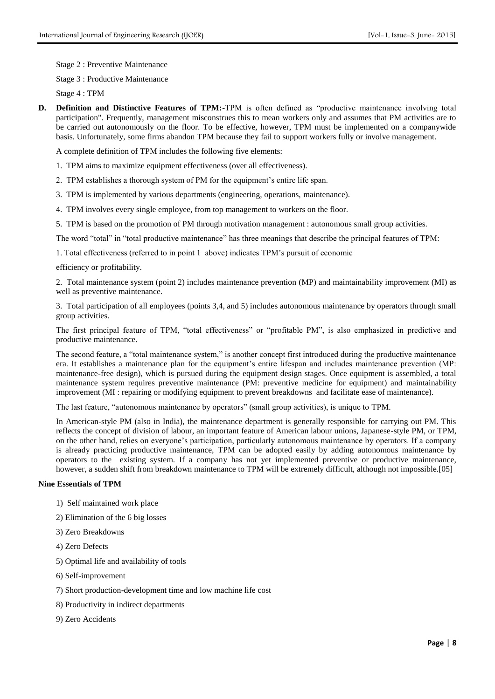Stage 2 : Preventive Maintenance

Stage 3 : Productive Maintenance

Stage 4 : TPM

**D. Definition and Distinctive Features of TPM:-**TPM is often defined as "productive maintenance involving total participation". Frequently, management misconstrues this to mean workers only and assumes that PM activities are to be carried out autonomously on the floor. To be effective, however, TPM must be implemented on a companywide basis. Unfortunately, some firms abandon TPM because they fail to support workers fully or involve management.

A complete definition of TPM includes the following five elements:

- 1. TPM aims to maximize equipment effectiveness (over all effectiveness).
- 2. TPM establishes a thorough system of PM for the equipment's entire life span.
- 3. TPM is implemented by various departments (engineering, operations, maintenance).
- 4. TPM involves every single employee, from top management to workers on the floor.
- 5. TPM is based on the promotion of PM through motivation management : autonomous small group activities.

The word "total" in "total productive maintenance" has three meanings that describe the principal features of TPM:

1. Total effectiveness (referred to in point 1 above) indicates TPM's pursuit of economic

efficiency or profitability.

2. Total maintenance system (point 2) includes maintenance prevention (MP) and maintainability improvement (MI) as well as preventive maintenance.

3. Total participation of all employees (points 3,4, and 5) includes autonomous maintenance by operators through small group activities.

The first principal feature of TPM, "total effectiveness" or "profitable PM", is also emphasized in predictive and productive maintenance.

The second feature, a "total maintenance system," is another concept first introduced during the productive maintenance era. It establishes a maintenance plan for the equipment's entire lifespan and includes maintenance prevention (MP: maintenance-free design), which is pursued during the equipment design stages. Once equipment is assembled, a total maintenance system requires preventive maintenance (PM: preventive medicine for equipment) and maintainability improvement (MI : repairing or modifying equipment to prevent breakdowns and facilitate ease of maintenance).

The last feature, "autonomous maintenance by operators" (small group activities), is unique to TPM.

In American-style PM (also in India), the maintenance department is generally responsible for carrying out PM. This reflects the concept of division of labour, an important feature of American labour unions, Japanese-style PM, or TPM, on the other hand, relies on everyone's participation, particularly autonomous maintenance by operators. If a company is already practicing productive maintenance, TPM can be adopted easily by adding autonomous maintenance by operators to the existing system. If a company has not yet implemented preventive or productive maintenance, however, a sudden shift from breakdown maintenance to TPM will be extremely difficult, although not impossible.[05]

#### **Nine Essentials of TPM**

- 1) Self maintained work place
- 2) Elimination of the 6 big losses
- 3) Zero Breakdowns
- 4) Zero Defects
- 5) Optimal life and availability of tools
- 6) Self-improvement
- 7) Short production-development time and low machine life cost
- 8) Productivity in indirect departments
- 9) Zero Accidents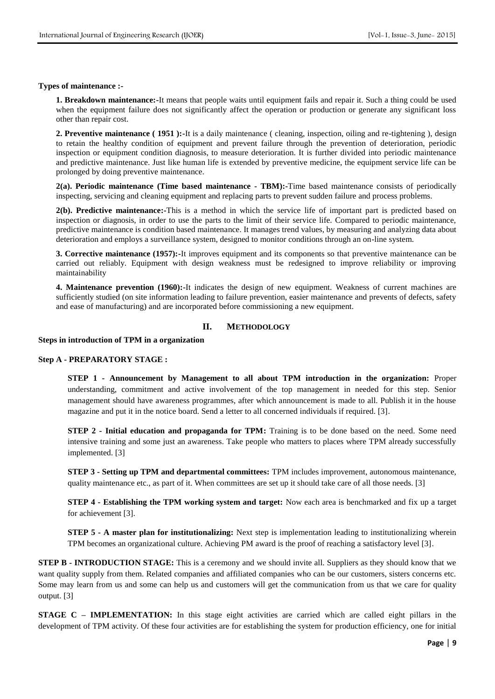#### **Types of maintenance :-**

**1. Breakdown maintenance:-**It means that people waits until equipment fails and repair it. Such a thing could be used when the equipment failure does not significantly affect the operation or production or generate any significant loss other than repair cost.

**2. Preventive maintenance ( 1951 ):-**It is a daily maintenance ( cleaning, inspection, oiling and re-tightening ), design to retain the healthy condition of equipment and prevent failure through the prevention of deterioration, periodic inspection or equipment condition diagnosis, to measure deterioration. It is further divided into periodic maintenance and predictive maintenance. Just like human life is extended by preventive medicine, the equipment service life can be prolonged by doing preventive maintenance.

**2(a). Periodic maintenance (Time based maintenance - TBM):-**Time based maintenance consists of periodically inspecting, servicing and cleaning equipment and replacing parts to prevent sudden failure and process problems.

**2(b). Predictive maintenance:-**This is a method in which the service life of important part is predicted based on inspection or diagnosis, in order to use the parts to the limit of their service life. Compared to periodic maintenance, predictive maintenance is condition based maintenance. It manages trend values, by measuring and analyzing data about deterioration and employs a surveillance system, designed to monitor conditions through an on-line system.

**3. Corrective maintenance (1957):-**It improves equipment and its components so that preventive maintenance can be carried out reliably. Equipment with design weakness must be redesigned to improve reliability or improving maintainability

**4. Maintenance prevention (1960):-**It indicates the design of new equipment. Weakness of current machines are sufficiently studied (on site information leading to failure prevention, easier maintenance and prevents of defects, safety and ease of manufacturing) and are incorporated before commissioning a new equipment.

# **II. METHODOLOGY**

# **Steps in introduction of TPM in a organization**

#### **Step A - PREPARATORY STAGE :**

**STEP 1 - Announcement by Management to all about TPM introduction in the organization:** Proper understanding, commitment and active involvement of the top management in needed for this step. Senior management should have awareness programmes, after which announcement is made to all. Publish it in the house magazine and put it in the notice board. Send a letter to all concerned individuals if required. [3].

**STEP 2 - Initial education and propaganda for TPM:** Training is to be done based on the need. Some need intensive training and some just an awareness. Take people who matters to places where TPM already successfully implemented. [3]

**STEP 3 - Setting up TPM and departmental committees:** TPM includes improvement, autonomous maintenance, quality maintenance etc., as part of it. When committees are set up it should take care of all those needs. [3]

**STEP 4 - Establishing the TPM working system and target:** Now each area is benchmarked and fix up a target for achievement [3].

**STEP 5 - A master plan for institutionalizing:** Next step is implementation leading to institutionalizing wherein TPM becomes an organizational culture. Achieving PM award is the proof of reaching a satisfactory level [3].

**STEP B - <b>INTRODUCTION STAGE:** This is a ceremony and we should invite all. Suppliers as they should know that we want quality supply from them. Related companies and affiliated companies who can be our customers, sisters concerns etc. Some may learn from us and some can help us and customers will get the communication from us that we care for quality output. [3]

**STAGE C – IMPLEMENTATION:** In this stage eight activities are carried which are called eight pillars in the development of TPM activity. Of these four activities are for establishing the system for production efficiency, one for initial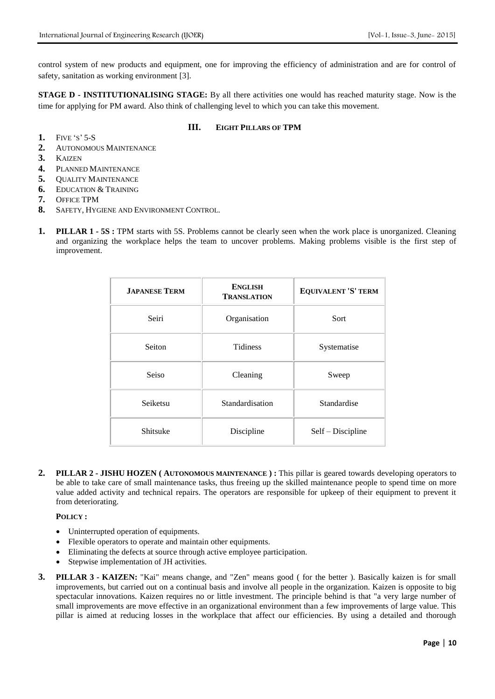control system of new products and equipment, one for improving the efficiency of administration and are for control of safety, sanitation as working environment [3].

**STAGE D - INSTITUTIONALISING STAGE:** By all there activities one would has reached maturity stage. Now is the time for applying for PM award. Also think of challenging level to which you can take this movement.

# **III. EIGHT PILLARS OF TPM**

- **1.** FIVE 'S' 5-S
- **2.** AUTONOMOUS MAINTENANCE
- **3.** KAIZEN
- **4.** PLANNED MAINTENANCE
- **5.** QUALITY MAINTENANCE
- **6.** EDUCATION & TRAINING
- **7.** OFFICE TPM
- **8.** SAFETY, HYGIENE AND ENVIRONMENT CONTROL.
- **1. PILLAR 1 - 5S :** TPM starts with 5S. Problems cannot be clearly seen when the work place is unorganized. Cleaning and organizing the workplace helps the team to uncover problems. Making problems visible is the first step of improvement.

| <b>JAPANESE TERM</b> | <b>ENGLISH</b><br><b>TRANSLATION</b> | <b>EQUIVALENT 'S' TERM</b> |
|----------------------|--------------------------------------|----------------------------|
| Seiri                | Organisation                         | Sort                       |
| <b>Seiton</b>        | <b>Tidiness</b>                      | Systematise                |
| Seiso                | Cleaning                             | Sweep                      |
| Seiketsu             | Standardisation                      | Standardise                |
| Shitsuke             | Discipline                           | Self – Discipline          |

**2. PILLAR 2 - JISHU HOZEN ( AUTONOMOUS MAINTENANCE ) :** This pillar is geared towards developing operators to be able to take care of small maintenance tasks, thus freeing up the skilled maintenance people to spend time on more value added activity and technical repairs. The operators are responsible for upkeep of their equipment to prevent it from deteriorating.

## **POLICY :**

- Uninterrupted operation of equipments.
- Flexible operators to operate and maintain other equipments.
- Eliminating the defects at source through active employee participation.
- Stepwise implementation of JH activities.
- **3. PILLAR 3 - KAIZEN:** "Kai" means change, and "Zen" means good ( for the better ). Basically kaizen is for small improvements, but carried out on a continual basis and involve all people in the organization. Kaizen is opposite to big spectacular innovations. Kaizen requires no or little investment. The principle behind is that "a very large number of small improvements are move effective in an organizational environment than a few improvements of large value. This pillar is aimed at reducing losses in the workplace that affect our efficiencies. By using a detailed and thorough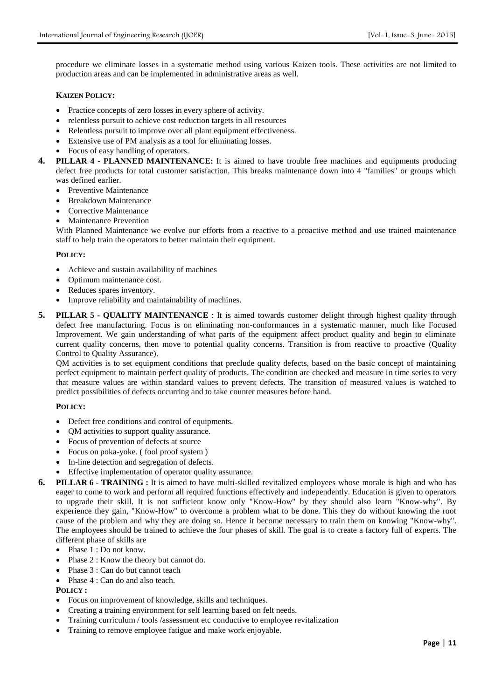procedure we eliminate losses in a systematic method using various Kaizen tools. These activities are not limited to production areas and can be implemented in administrative areas as well.

## **KAIZEN POLICY:**

- Practice concepts of zero losses in every sphere of activity.
- relentless pursuit to achieve cost reduction targets in all resources
- Relentless pursuit to improve over all plant equipment effectiveness.
- Extensive use of PM analysis as a tool for eliminating losses.
- Focus of easy handling of operators.
- **4. PILLAR 4 - PLANNED MAINTENANCE:** It is aimed to have trouble free machines and equipments producing defect free products for total customer satisfaction. This breaks maintenance down into 4 "families" or groups which was defined earlier.
	- Preventive Maintenance
	- Breakdown Maintenance
	- Corrective Maintenance
	- Maintenance Prevention

With Planned Maintenance we evolve our efforts from a reactive to a proactive method and use trained maintenance staff to help train the operators to better maintain their equipment.

#### **POLICY:**

- Achieve and sustain availability of machines
- Optimum maintenance cost.
- Reduces spares inventory.
- Improve reliability and maintainability of machines.
- **5. PILLAR 5 - QUALITY MAINTENANCE** : It is aimed towards customer delight through highest quality through defect free manufacturing. Focus is on eliminating non-conformances in a systematic manner, much like Focused Improvement. We gain understanding of what parts of the equipment affect product quality and begin to eliminate current quality concerns, then move to potential quality concerns. Transition is from reactive to proactive (Quality Control to Quality Assurance).

QM activities is to set equipment conditions that preclude quality defects, based on the basic concept of maintaining perfect equipment to maintain perfect quality of products. The condition are checked and measure in time series to very that measure values are within standard values to prevent defects. The transition of measured values is watched to predict possibilities of defects occurring and to take counter measures before hand.

#### **POLICY:**

- Defect free conditions and control of equipments.
- QM activities to support quality assurance.
- Focus of prevention of defects at source
- Focus on poka-yoke. ( fool proof system )
- In-line detection and segregation of defects.
- Effective implementation of operator quality assurance.
- **6. PILLAR 6 - TRAINING :** It is aimed to have multi-skilled revitalized employees whose morale is high and who has eager to come to work and perform all required functions effectively and independently. Education is given to operators to upgrade their skill. It is not sufficient know only "Know-How" by they should also learn "Know-why". By experience they gain, "Know-How" to overcome a problem what to be done. This they do without knowing the root cause of the problem and why they are doing so. Hence it become necessary to train them on knowing "Know-why". The employees should be trained to achieve the four phases of skill. The goal is to create a factory full of experts. The different phase of skills are
	- Phase 1 : Do not know.
	- Phase 2 : Know the theory but cannot do.
	- Phase 3 : Can do but cannot teach
	- Phase 4 : Can do and also teach.

## **POLICY :**

- Focus on improvement of knowledge, skills and techniques.
- Creating a training environment for self learning based on felt needs.
- Training curriculum / tools /assessment etc conductive to employee revitalization
- Training to remove employee fatigue and make work enjoyable.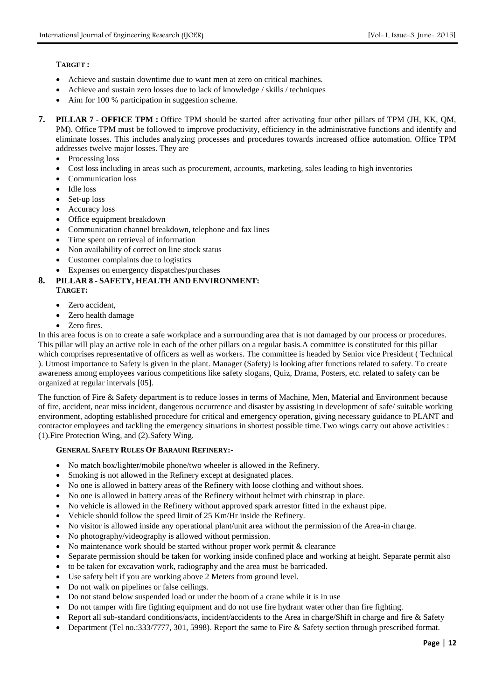# **TARGET :**

- Achieve and sustain downtime due to want men at zero on critical machines.
- Achieve and sustain zero losses due to lack of knowledge / skills / techniques
- Aim for 100 % participation in suggestion scheme.
- **7. PILLAR 7 - OFFICE TPM :** Office TPM should be started after activating four other pillars of TPM (JH, KK, QM, PM). Office TPM must be followed to improve productivity, efficiency in the administrative functions and identify and eliminate losses. This includes analyzing processes and procedures towards increased office automation. Office TPM addresses twelve major losses. They are
	- Processing loss
	- Cost loss including in areas such as procurement, accounts, marketing, sales leading to high inventories
	- Communication loss
	- Idle loss
	- Set-up loss
	- Accuracy loss
	- Office equipment breakdown
	- Communication channel breakdown, telephone and fax lines
	- Time spent on retrieval of information
	- Non availability of correct on line stock status
	- Customer complaints due to logistics
	- Expenses on emergency dispatches/purchases

## **8. PILLAR 8 - SAFETY, HEALTH AND ENVIRONMENT: TARGET:**

- Zero accident,
- Zero health damage
- Zero fires.

In this area focus is on to create a safe workplace and a surrounding area that is not damaged by our process or procedures. This pillar will play an active role in each of the other pillars on a regular basis.A committee is constituted for this pillar which comprises representative of officers as well as workers. The committee is headed by Senior vice President ( Technical ). Utmost importance to Safety is given in the plant. Manager (Safety) is looking after functions related to safety. To create awareness among employees various competitions like safety slogans, Quiz, Drama, Posters, etc. related to safety can be organized at regular intervals [05].

The function of Fire & Safety department is to reduce losses in terms of Machine, Men, Material and Environment because of fire, accident, near miss incident, dangerous occurrence and disaster by assisting in development of safe/ suitable working environment, adopting established procedure for critical and emergency operation, giving necessary guidance to PLANT and contractor employees and tackling the emergency situations in shortest possible time.Two wings carry out above activities : (1).Fire Protection Wing, and (2).Safety Wing.

## **GENERAL SAFETY RULES OF BARAUNI REFINERY:-**

- No match box/lighter/mobile phone/two wheeler is allowed in the Refinery.
- Smoking is not allowed in the Refinery except at designated places.
- No one is allowed in battery areas of the Refinery with loose clothing and without shoes.
- No one is allowed in battery areas of the Refinery without helmet with chinstrap in place.
- No vehicle is allowed in the Refinery without approved spark arrestor fitted in the exhaust pipe.
- Vehicle should follow the speed limit of 25 Km/Hr inside the Refinery.
- No visitor is allowed inside any operational plant/unit area without the permission of the Area-in charge.
- No photography/videography is allowed without permission.
- No maintenance work should be started without proper work permit & clearance
- Separate permission should be taken for working inside confined place and working at height. Separate permit also
- to be taken for excavation work, radiography and the area must be barricaded.
- Use safety belt if you are working above 2 Meters from ground level.
- Do not walk on pipelines or false ceilings.
- Do not stand below suspended load or under the boom of a crane while it is in use
- Do not tamper with fire fighting equipment and do not use fire hydrant water other than fire fighting.
- Report all sub-standard conditions/acts, incident/accidents to the Area in charge/Shift in charge and fire & Safety
- Department (Tel no.:333/7777, 301, 5998). Report the same to Fire & Safety section through prescribed format.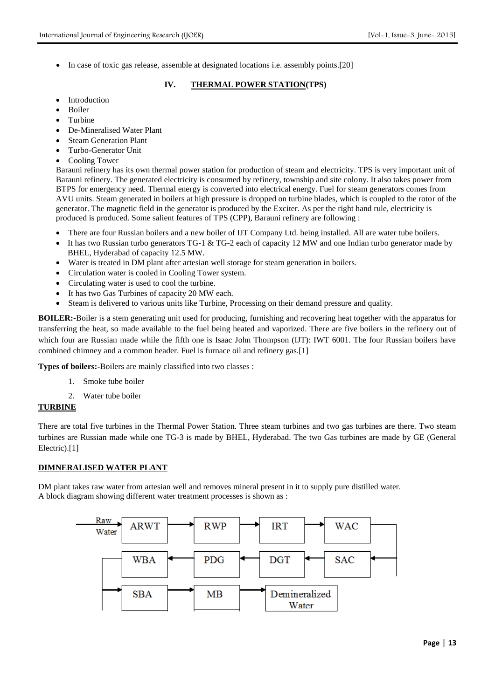• In case of toxic gas release, assemble at designated locations i.e. assembly points.[20]

# **IV. THERMAL POWER STATION(TPS)**

- Introduction
- Boiler
- Turbine
- De-Mineralised Water Plant
- Steam Generation Plant
- Turbo-Generator Unit
- Cooling Tower

Barauni refinery has its own thermal power station for production of steam and electricity. TPS is very important unit of Barauni refinery. The generated electricity is consumed by refinery, township and site colony. It also takes power from BTPS for emergency need. Thermal energy is converted into electrical energy. Fuel for steam generators comes from AVU units. Steam generated in boilers at high pressure is dropped on turbine blades, which is coupled to the rotor of the generator. The magnetic field in the generator is produced by the Exciter. As per the right hand rule, electricity is produced is produced. Some salient features of TPS (CPP), Barauni refinery are following :

- There are four Russian boilers and a new boiler of IJT Company Ltd. being installed. All are water tube boilers.
- It has two Russian turbo generators TG-1 & TG-2 each of capacity 12 MW and one Indian turbo generator made by BHEL, Hyderabad of capacity 12.5 MW.
- Water is treated in DM plant after artesian well storage for steam generation in boilers.
- Circulation water is cooled in Cooling Tower system.
- Circulating water is used to cool the turbine.
- It has two Gas Turbines of capacity 20 MW each.
- Steam is delivered to various units like Turbine, Processing on their demand pressure and quality.

**BOILER:-**Boiler is a stem generating unit used for producing, furnishing and recovering heat together with the apparatus for transferring the heat, so made available to the fuel being heated and vaporized. There are five boilers in the refinery out of which four are Russian made while the fifth one is Isaac John Thompson (IJT): IWT 6001. The four Russian boilers have combined chimney and a common header. Fuel is furnace oil and refinery gas.[1]

**Types of boilers:-**Boilers are mainly classified into two classes :

- 1. Smoke tube boiler
- 2. Water tube boiler

# **TURBINE**

There are total five turbines in the Thermal Power Station. Three steam turbines and two gas turbines are there. Two steam turbines are Russian made while one TG-3 is made by BHEL, Hyderabad. The two Gas turbines are made by GE (General Electric).[1]

## **DIMNERALISED WATER PLANT**

DM plant takes raw water from artesian well and removes mineral present in it to supply pure distilled water. A block diagram showing different water treatment processes is shown as :

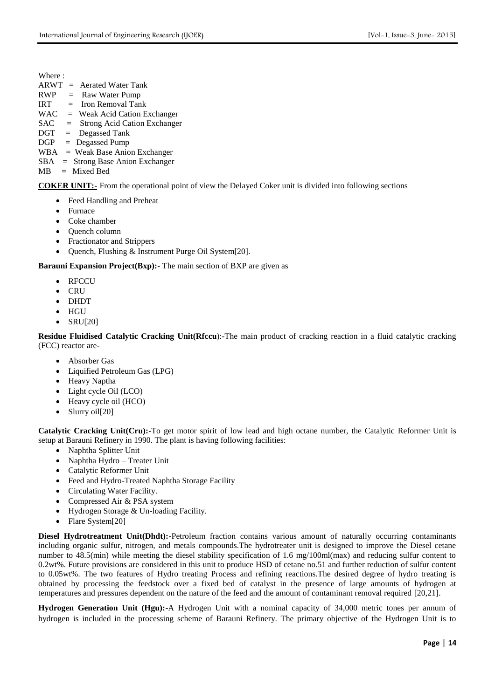Where :

- ARWT = Aerated Water Tank
- RWP = Raw Water Pump
- IRT = Iron Removal Tank
- $WAC =$  Weak Acid Cation Exchanger
- SAC = Strong Acid Cation Exchanger
- $DGT = Dee$ assed Tank
- DGP = Degassed Pump
- WBA = Weak Base Anion Exchanger
- $SBA =$ Strong Base Anion Exchanger<br>MB = Mixed Bed
- $=$  Mixed Bed

**COKER UNIT:-** From the operational point of view the Delayed Coker unit is divided into following sections

- Feed Handling and Preheat
- Furnace
- Coke chamber
- Ouench column
- Fractionator and Strippers
- Quench, Flushing & Instrument Purge Oil System[20].

**Barauni Expansion Project(Bxp):-** The main section of BXP are given as

- RFCCU
- **CRU**
- DHDT
- HGU
- $\bullet$  SRU[20]

**Residue Fluidised Catalytic Cracking Unit(Rfccu**):-The main product of cracking reaction in a fluid catalytic cracking (FCC) reactor are-

- Absorber Gas
- Liquified Petroleum Gas (LPG)
- Heavy Naptha
- Light cycle Oil (LCO)
- Heavy cycle oil (HCO)
- Slurry oil[20]

**Catalytic Cracking Unit(Cru):-**To get motor spirit of low lead and high octane number, the Catalytic Reformer Unit is setup at Barauni Refinery in 1990. The plant is having following facilities:

- Naphtha Splitter Unit
- Naphtha Hydro Treater Unit
- Catalytic Reformer Unit
- Feed and Hydro-Treated Naphtha Storage Facility
- Circulating Water Facility.
- Compressed Air & PSA system
- Hydrogen Storage & Un-loading Facility.
- Flare System[20]

**Diesel Hydrotreatment Unit(Dhdt):-**Petroleum fraction contains various amount of naturally occurring contaminants including organic sulfur, nitrogen, and metals compounds.The hydrotreater unit is designed to improve the Diesel cetane number to 48.5(min) while meeting the diesel stability specification of 1.6 mg/100ml(max) and reducing sulfur content to 0.2wt%. Future provisions are considered in this unit to produce HSD of cetane no.51 and further reduction of sulfur content to 0.05wt%. The two features of Hydro treating Process and refining reactions.The desired degree of hydro treating is obtained by processing the feedstock over a fixed bed of catalyst in the presence of large amounts of hydrogen at temperatures and pressures dependent on the nature of the feed and the amount of contaminant removal required [20,21].

**Hydrogen Generation Unit (Hgu):-**A Hydrogen Unit with a nominal capacity of 34,000 metric tones per annum of hydrogen is included in the processing scheme of Barauni Refinery. The primary objective of the Hydrogen Unit is to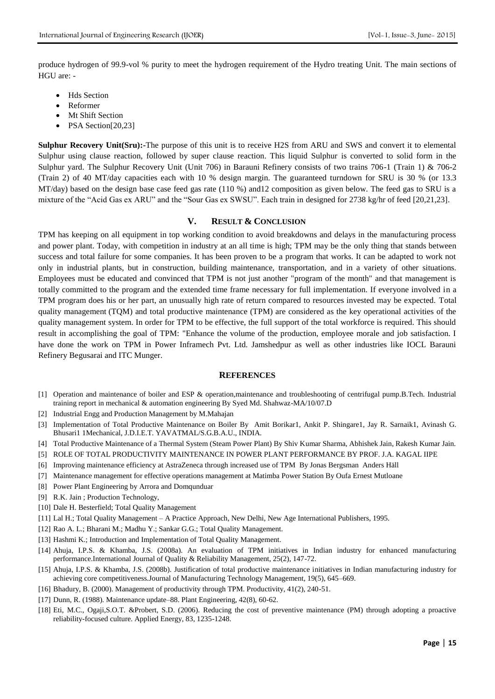produce hydrogen of 99.9-vol % purity to meet the hydrogen requirement of the Hydro treating Unit. The main sections of HGU are: -

- Hds Section
- Reformer
- Mt Shift Section
- PSA Section[20,23]

**Sulphur Recovery Unit(Sru):-**The purpose of this unit is to receive H2S from ARU and SWS and convert it to elemental Sulphur using clause reaction, followed by super clause reaction. This liquid Sulphur is converted to solid form in the Sulphur yard. The Sulphur Recovery Unit (Unit 706) in Barauni Refinery consists of two trains 706-1 (Train 1) & 706-2 (Train 2) of 40 MT/day capacities each with 10 % design margin. The guaranteed turndown for SRU is 30 % (or 13.3 MT/day) based on the design base case feed gas rate (110 %) and12 composition as given below. The feed gas to SRU is a mixture of the "Acid Gas ex ARU" and the "Sour Gas ex SWSU". Each train in designed for 2738 kg/hr of feed [20,21,23].

## **V. RESULT & CONCLUSION**

TPM has keeping on all equipment in top working condition to avoid breakdowns and delays in the manufacturing process and power plant. Today, with competition in industry at an all time is high; TPM may be the only thing that stands between success and total failure for some companies. It has been proven to be a program that works. It can be adapted to work not only in industrial plants, but in construction, building maintenance, transportation, and in a variety of other situations. Employees must be educated and convinced that TPM is not just another "program of the month" and that management is totally committed to the program and the extended time frame necessary for full implementation. If everyone involved in a TPM program does his or her part, an unusually high rate of return compared to resources invested may be expected. [Total](http://en.wikipedia.org/wiki/Total_quality_management)  [quality management](http://en.wikipedia.org/wiki/Total_quality_management) (TQM) and total productive maintenance (TPM) are considered as the key operational activities of the quality management system. In order for TPM to be effective, the full support of the total workforce is required. This should result in accomplishing the goal of TPM: "Enhance the volume of the production, employee morale and job satisfaction. I have done the work on TPM in Power Inframech Pvt. Ltd. Jamshedpur as well as other industries like IOCL Barauni Refinery Begusarai and ITC Munger.

#### **REFERENCES**

- [1] Operation and maintenance of boiler and ESP & operation,maintenance and troubleshooting of centrifugal pump.B.Tech. Industrial training report in mechanical & automation engineering By Syed Md. Shahwaz-MA/10/07.D
- [2] Industrial Engg and Production Management by M.Mahajan
- [3] Implementation of Total Productive Maintenance on Boiler By Amit Borikar1, Ankit P. Shingare1, Jay R. Sarnaik1, Avinash G. Bhusari1 1Mechanical, J.D.I.E.T. YAVATMAL/S.G.B.A.U., INDIA.
- [4] Total Productive Maintenance of a Thermal System (Steam Power Plant) By Shiv Kumar Sharma, Abhishek Jain, Rakesh Kumar Jain.
- [5] ROLE OF TOTAL PRODUCTIVITY MAINTENANCE IN POWER PLANT PERFORMANCE BY PROF. J.A. KAGAL IIPE
- [6] Improving maintenance efficiency at AstraZeneca through increased use of TPM By Jonas Bergsman Anders Häll
- [7] Maintenance management for effective operations management at Matimba Power Station By Oufa Ernest Mutloane
- [8] Power Plant Engineering by Arrora and Domqunduar
- [9] R.K. Jain ; Production Technology,
- [10] Dale H. Besterfield; Total Quality Management
- [11] Lal H.; Total Quality Management A Practice Approach, New Delhi, New Age International Publishers, 1995.
- [12] Rao A. L.; Bharani M.; Madhu Y.; Sankar G.G.; Total Quality Management.
- [13] Hashmi K.; Introduction and Implementation of Total Quality Management.
- [14] Ahuja, I.P.S. & Khamba, J.S. (2008a). An evaluation of TPM initiatives in Indian industry for enhanced manufacturing performance.International Journal of Quality & Reliability Management, 25(2), 147-72.
- [15] Ahuja, I.P.S. & Khamba, J.S. (2008b). Justification of total productive maintenance initiatives in Indian manufacturing industry for achieving core competitiveness.Journal of Manufacturing Technology Management, 19(5), 645–669.
- [16] Bhadury, B. (2000). Management of productivity through TPM. Productivity, 41(2), 240-51.
- [17] Dunn, R. (1988). Maintenance update–88. Plant Engineering, 42(8), 60-62.
- [18] Eti, M.C., Ogaji,S.O.T. &Probert, S.D. (2006). Reducing the cost of preventive maintenance (PM) through adopting a proactive reliability-focused culture. Applied Energy, 83, 1235-1248.